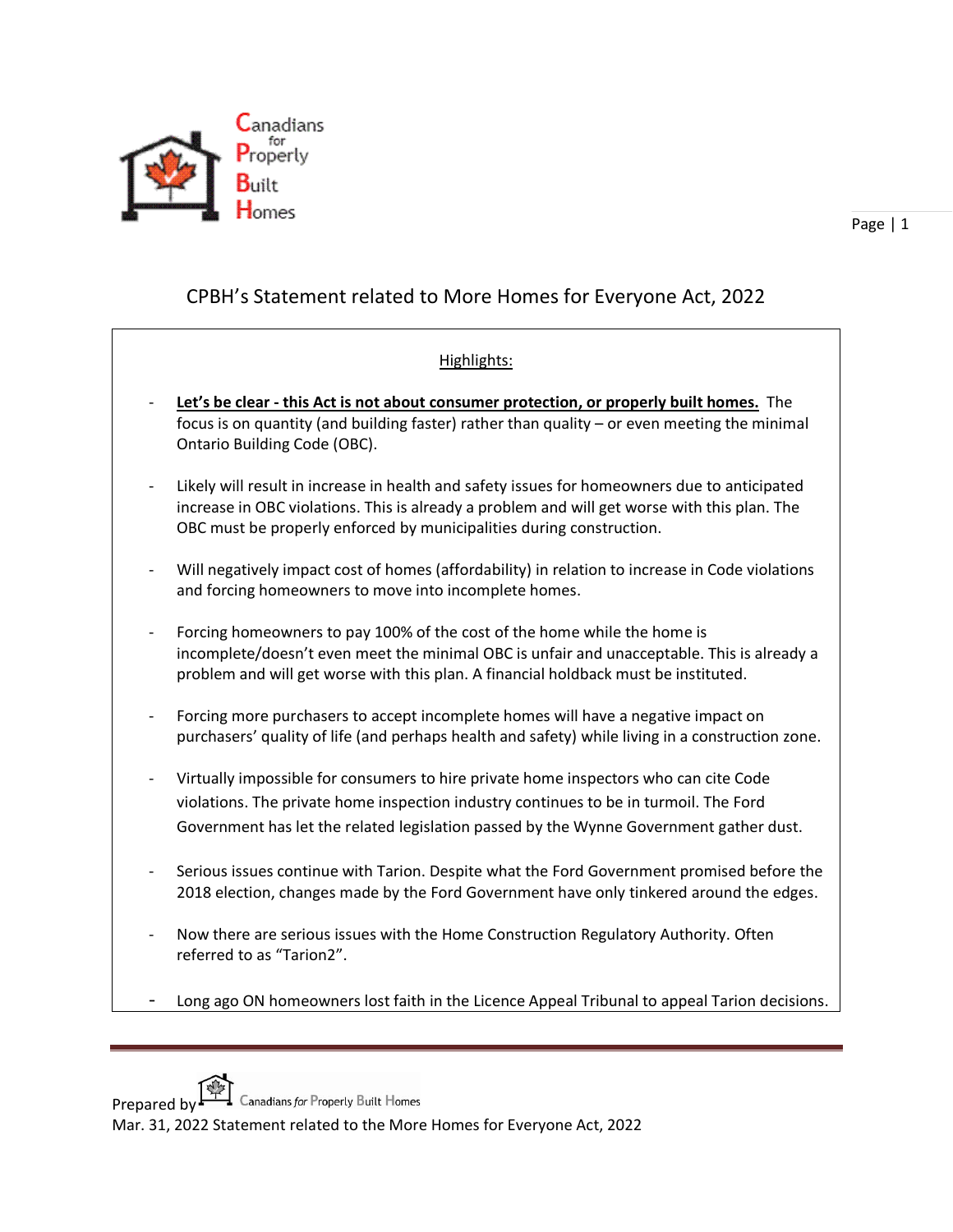

## CPBH's Statement related to More Homes for Everyone Act, 2022

## Highlights:

- **Let's be clear - this Act is not about consumer protection, or properly built homes.** The focus is on quantity (and building faster) rather than quality – or even meeting the minimal Ontario Building Code (OBC).
- Likely will result in increase in health and safety issues for homeowners due to anticipated increase in OBC violations. This is already a problem and will get worse with this plan. The OBC must be properly enforced by municipalities during construction.
- Will negatively impact cost of homes (affordability) in relation to increase in Code violations and forcing homeowners to move into incomplete homes.
- Forcing homeowners to pay 100% of the cost of the home while the home is incomplete/doesn't even meet the minimal OBC is unfair and unacceptable. This is already a problem and will get worse with this plan. A financial holdback must be instituted.
- Forcing more purchasers to accept incomplete homes will have a negative impact on purchasers' quality of life (and perhaps health and safety) while living in a construction zone.
- Virtually impossible for consumers to hire private home inspectors who can cite Code violations. The private home inspection industry continues to be in turmoil. The Ford Government has let the related legislation passed by the Wynne Government gather dust.
- Serious issues continue with Tarion. Despite what the Ford Government promised before the 2018 election, changes made by the Ford Government have only tinkered around the edges.
- Now there are serious issues with the Home Construction Regulatory Authority. Often referred to as "Tarion2".
- Long ago ON homeowners lost faith in the Licence Appeal Tribunal to appeal Tarion decisions.

Prepared by Canadians for Property Built Homes

Mar. 31, 2022 Statement related to the More Homes for Everyone Act, 2022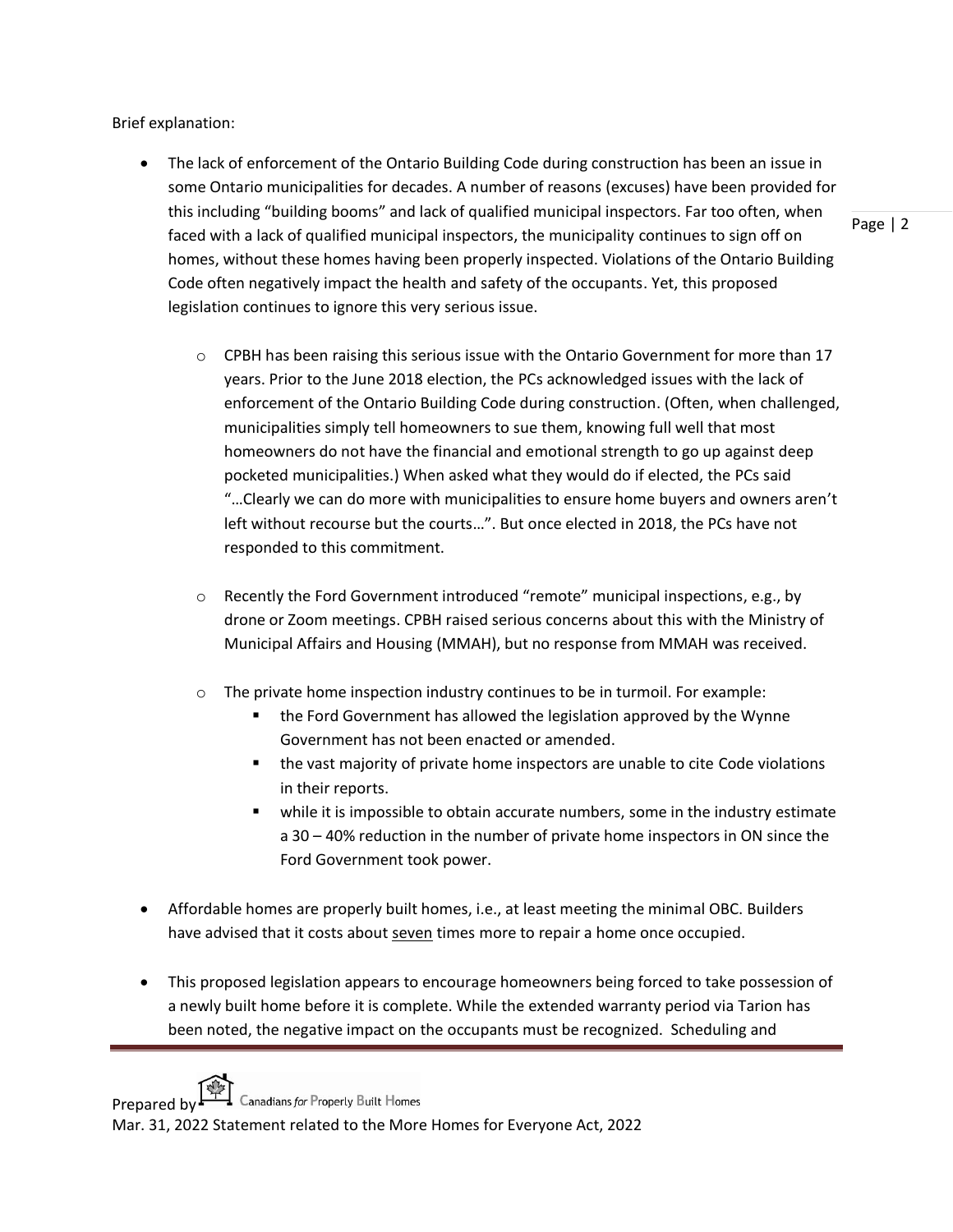Brief explanation:

• The lack of enforcement of the Ontario Building Code during construction has been an issue in some Ontario municipalities for decades. A number of reasons (excuses) have been provided for this including "building booms" and lack of qualified municipal inspectors. Far too often, when faced with a lack of qualified municipal inspectors, the municipality continues to sign off on homes, without these homes having been properly inspected. Violations of the Ontario Building Code often negatively impact the health and safety of the occupants. Yet, this proposed legislation continues to ignore this very serious issue.

Page | 2

- $\circ$  CPBH has been raising this serious issue with the Ontario Government for more than 17 years. Prior to the June 2018 election, the PCs acknowledged issues with the lack of enforcement of the Ontario Building Code during construction. (Often, when challenged, municipalities simply tell homeowners to sue them, knowing full well that most homeowners do not have the financial and emotional strength to go up against deep pocketed municipalities.) When asked what they would do if elected, the PCs said "…Clearly we can do more with municipalities to ensure home buyers and owners aren't left without recourse but the courts…". But once elected in 2018, the PCs have not responded to this commitment.
- $\circ$  Recently the Ford Government introduced "remote" municipal inspections, e.g., by drone or Zoom meetings. CPBH raised serious concerns about this with the Ministry of Municipal Affairs and Housing (MMAH), but no response from MMAH was received.
- o The private home inspection industry continues to be in turmoil. For example:
	- the Ford Government has allowed the legislation approved by the Wynne Government has not been enacted or amended.
	- the vast majority of private home inspectors are unable to cite Code violations in their reports.
	- while it is impossible to obtain accurate numbers, some in the industry estimate a 30 – 40% reduction in the number of private home inspectors in ON since the Ford Government took power.
- Affordable homes are properly built homes, i.e., at least meeting the minimal OBC. Builders have advised that it costs about seven times more to repair a home once occupied.
- This proposed legislation appears to encourage homeowners being forced to take possession of a newly built home before it is complete. While the extended warranty period via Tarion has been noted, the negative impact on the occupants must be recognized. Scheduling and

Prepared by  $\Box$  Canadians for Property Built Homes

Mar. 31, 2022 Statement related to the More Homes for Everyone Act, 2022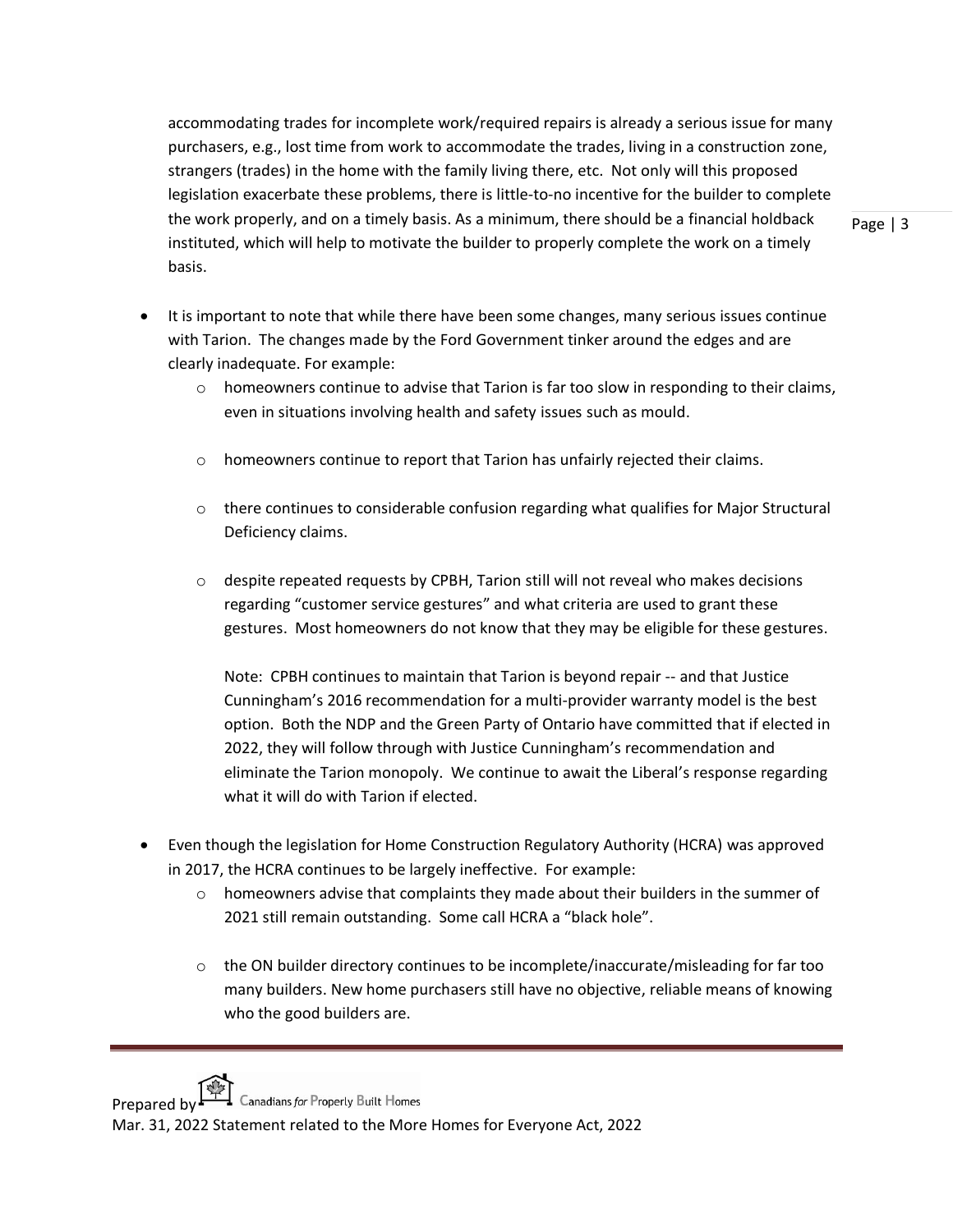accommodating trades for incomplete work/required repairs is already a serious issue for many purchasers, e.g., lost time from work to accommodate the trades, living in a construction zone, strangers (trades) in the home with the family living there, etc. Not only will this proposed legislation exacerbate these problems, there is little-to-no incentive for the builder to complete the work properly, and on a timely basis. As a minimum, there should be a financial holdback instituted, which will help to motivate the builder to properly complete the work on a timely basis.

- It is important to note that while there have been some changes, many serious issues continue with Tarion. The changes made by the Ford Government tinker around the edges and are
	- clearly inadequate. For example:
		- $\circ$  homeowners continue to advise that Tarion is far too slow in responding to their claims, even in situations involving health and safety issues such as mould.
		- o homeowners continue to report that Tarion has unfairly rejected their claims.
		- $\circ$  there continues to considerable confusion regarding what qualifies for Major Structural Deficiency claims.
		- $\circ$  despite repeated requests by CPBH, Tarion still will not reveal who makes decisions regarding "customer service gestures" and what criteria are used to grant these gestures. Most homeowners do not know that they may be eligible for these gestures.

Note: CPBH continues to maintain that Tarion is beyond repair -- and that Justice Cunningham's 2016 recommendation for a multi-provider warranty model is the best option. Both the NDP and the Green Party of Ontario have committed that if elected in 2022, they will follow through with Justice Cunningham's recommendation and eliminate the Tarion monopoly. We continue to await the Liberal's response regarding what it will do with Tarion if elected.

- Even though the legislation for Home Construction Regulatory Authority (HCRA) was approved in 2017, the HCRA continues to be largely ineffective. For example:
	- $\circ$  homeowners advise that complaints they made about their builders in the summer of 2021 still remain outstanding. Some call HCRA a "black hole".
	- $\circ$  the ON builder directory continues to be incomplete/inaccurate/misleading for far too many builders. New home purchasers still have no objective, reliable means of knowing who the good builders are.

Prepared by  $\Box$  Canadians for Properly Built Homes

Mar. 31, 2022 Statement related to the More Homes for Everyone Act, 2022

Page | 3